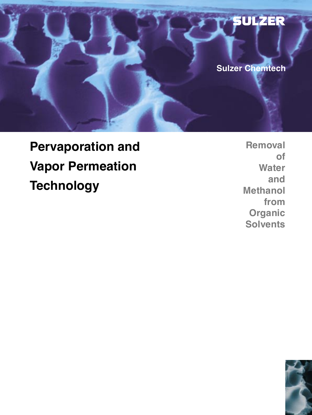

# **Pervaporation and Vapor Permeation Technology**

**Removal of Water and Methanol from Organic Solvents**

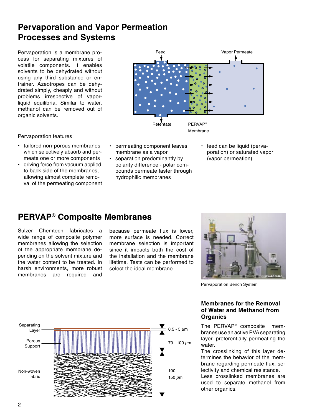# **Pervaporation and Vapor Permeation Processes and Systems**

Pervaporation is a membrane process for separating mixtures of volatile components. It enables solvents to be dehydrated without using any third substance or entrainer. Azeotropes can be dehydrated simply, cheaply and without problems irrespective of vaporliquid equilibria. Similar to water, methanol can be removed out of organic solvents.



Pervaporation features:

- tailored non-porous membranes which selectively absorb and permeate one or more components
- driving force from vacuum applied to back side of the membranes, allowing almost complete removal of the permeating component
- permeating component leaves membrane as a vapor
- separation predominantly by polarity difference - polar compounds permeate faster through hydrophilic membranes
- feed can be liquid (pervaporation) or saturated vapor (vapor permeation)

# **PERVAP® Composite Membranes**

Sulzer Chemtech fabricates a wide range of composite polymer membranes allowing the selection of the appropriate membrane depending on the solvent mixture and the water content to be treated. In harsh environments, more robust membranes are required and

because permeate flux is lower. more surface is needed. Correct membrane selection is important since it impacts both the cost of the installation and the membrane lifetime. Tests can be performed to select the ideal membrane.



Pervaporation Bench System

### **Membranes for the Removal of Water and Methanol from Organics**

The PERVAP® composite membranes use an active PVA separating layer, preferentially permeating the water.

The crosslinking of this layer determines the behavior of the membrane regarding permeate flux, selectivity and chemical resistance.

Less crosslinked membranes are used to separate methanol from other organics.

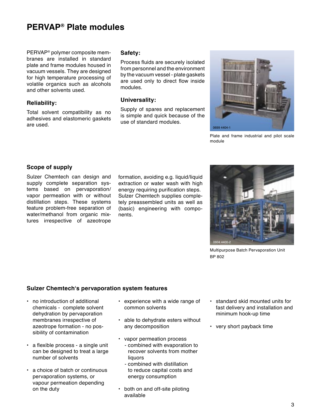## **PERVAP® Plate modules**

PERVAP® polymer composite membranes are installed in standard plate and frame modules housed in vacuum vessels. They are designed for high temperature processing of volatile organics such as alcohols and other solvents used.

#### **Reliability:**

Total solvent compatibility as no adhesives and elastomeric gaskets are used.

### **Safety:**

Process fluids are securely isolated from personnel and the environment by the vacuum vessel - plate gaskets are used only to direct flow inside modules.

### **Universality:**

Supply of spares and replacement is simple and quick because of the use of standard modules.



Plate and frame industrial and pilot scale module

#### **Scope of supply**

Sulzer Chemtech can design and supply complete separation systems based on pervaporation/ vapor permeation with or without distillation steps. These systems feature problem-free separation of water/methanol from organic mixtures irrespective of azeotrope

formation, avoiding e.g. liquid/liquid extraction or water wash with high energy requiring purification steps. Sulzer Chemtech supplies completely preassembled units as well as (basic) engineering with components.



Multipurpose Batch Pervaporation Unit BP 802

#### **Sulzer Chemtechʻs pervaporation system features**

- no introduction of additional chemicals - complete solvent dehydration by pervaporation membranes irrespective of azeotrope formation - no possibility of contamination
- a flexible process a single unit can be designed to treat a large number of solvents
- a choice of batch or continuous pervaporation systems, or vapour permeation depending on the duty
- experience with a wide range of common solvents
- able to dehydrate esters without any decomposition
- vapor permeation process - combined with evaporation to recover solvents from mother liquors
	- combined with distillation to reduce capital costs and energy consumption
- both on and off-site piloting available
- standard skid mounted units for fast delivery and installation and minimum hook-up time
- very short payback time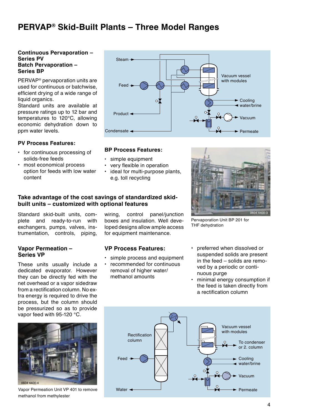# **PERVAP® Skid-Built Plants – Three Model Ranges**

#### **Continuous Pervaporation – Series PV Batch Pervaporation – Series BP**

PERVAP® pervaporation units are used for continuous or batchwise, efficient drying of a wide range of liquid organics.

Standard units are available at pressure ratings up to 12 bar and temperatures to 120°C, allowing economic dehydration down to ppm water levels.

#### **PV Process Features:**

- for continuous processing of solids-free feeds
- most economical process option for feeds with low water content



#### **BP Process Features:**

- simple equipment
- very flexible in operation
	- ideal for multi-purpose plants, e.g. toll recycling

#### **Take advantage of the cost savings of standardized skidbuilt units – customized with optional features**

Standard skid-built units, complete and ready-to-run with exchangers, pumps, valves, instrumentation, controls, piping,

#### **Vapor Permeation – Series VP**

These units usually include a dedicated evaporator. However they can be directly fed with the net overhead or a vapor sidedraw from a rectification column. No extra energy is required to drive the process, but the column should be pressurized so as to provide vapor feed with 95-120 °C.



Vapor Permeation Unit VP 401 to remove methanol from methylester

wiring, control panel/junction boxes and insulation. Well developed designs allow ample access for equipment maintenance.

#### **VP Process Features:**

- simple process and equipment • recommended for continuous
- removal of higher water/ methanol amounts



Pervaporation Unit BP 201 for THF dehydration

- preferred when dissolved or suspended solids are present in the feed – solids are removed by a periodic or continuous purge
- minimal energy consumption if the feed is taken directly from a rectification column

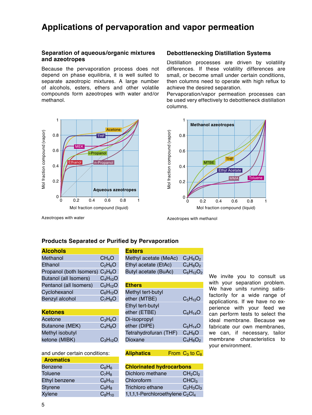### **Applications of pervaporation and vapor permeation**

#### **Separation of aqueous/organic mixtures and azeotropes**

Because the pervaporation process does not depend on phase equilibria, it is well suited to separate azeotropic mixtures. A large number of alcohols, esters, ethers and other volatile compounds form azeotropes with water and/or methanol.



### **Debottlenecking Distillation Systems**

Distillation processes are driven by volatility differences. If these volatility differences are small, or become small under certain conditions, then columns need to operate with high reflux to achieve the desired separation.

Pervaporation/vapor permeation processes can be used very effectively to debottleneck distillation columns.



Azeotropes with water

Azeotropes with methanol

### **Products Separated or Purified by Pervaporation**

| <b>Alcohols</b>                                                                                                                                                                                                                                                                                                                    |  |
|------------------------------------------------------------------------------------------------------------------------------------------------------------------------------------------------------------------------------------------------------------------------------------------------------------------------------------|--|
| $\mathbf{A}$ $\mathbf{A}$ $\mathbf{A}$ $\mathbf{B}$ $\mathbf{A}$ $\mathbf{B}$ $\mathbf{A}$ $\mathbf{B}$ $\mathbf{A}$ $\mathbf{B}$ $\mathbf{A}$ $\mathbf{B}$ $\mathbf{A}$ $\mathbf{B}$ $\mathbf{A}$ $\mathbf{B}$ $\mathbf{B}$ $\mathbf{A}$ $\mathbf{B}$ $\mathbf{B}$ $\mathbf{B}$ $\mathbf{B}$ $\mathbf{B}$ $\mathbf{B}$ $\mathbf{$ |  |

| Methanol                                                | CH <sub>4</sub> O |
|---------------------------------------------------------|-------------------|
| Ethanol                                                 | $C_2H_6O$         |
| Propanol (both Isomers) C <sub>3</sub> H <sub>8</sub> O |                   |
| <b>Butanol (all Isomers)</b>                            | $C_4H_{10}O$      |
| Pentanol (all Isomers)                                  | $C_5H_{12}O$      |
| Cyclohexanol                                            | $C_6H_{12}O$      |
| Benzyl alcohol                                          | $C_7H_8O$         |
|                                                         |                   |

| <b>Ketones</b>        |              |
|-----------------------|--------------|
| Acetone               | $C_3H_6O$    |
| <b>Butanone (MEK)</b> | $C_4H_8O$    |
| Methyl isobutyl       |              |
| ketone (MIBK)         | $C_3H_{12}O$ |

|  | and under certain conditions: |
|--|-------------------------------|
|  |                               |

| <b>Aromatics</b> |             |
|------------------|-------------|
| Benzene          | $C_6H_6$    |
| <b>Toluene</b>   | $C_7H_8$    |
| Ethyl benzene    | $C_8H_{10}$ |
| <b>Styrene</b>   | $C_8H_8$    |
| <b>Xylene</b>    | $C_8H_{10}$ |
|                  |             |

| <b>Esters</b>         |                |
|-----------------------|----------------|
| Methyl acetate (MeAc) | $C_3H_6O_2$    |
| Ethyl acetate (EtAc)  | $C_4H_8O_2$    |
| Butyl acetate (BuAc)  | $C_6H_{12}O_2$ |
|                       |                |

| <b>Ethers</b>         |              |
|-----------------------|--------------|
| Methyl tert-butyl     |              |
| ether (MTBE)          | $C_5H_{12}O$ |
| Ethyl tert-butyl      |              |
| ether (ETBE)          | $C_6H_{14}O$ |
| Di-isopropyl          |              |
| ether (DIPE)          | $C_6H_{14}O$ |
| Tetrahydrofuran (THF) | $C_4H_8O$    |
| Dioxane               | $C_4H_8O_2$  |

**Aliphatics** From C<sub>3</sub> to C<sub>8</sub>

| <b>Chlorinated hydrocarbons</b>                          |                                 |
|----------------------------------------------------------|---------------------------------|
| Dichloro methane                                         | CH <sub>2</sub> Cl <sub>2</sub> |
| Chloroform                                               | CHCl <sub>3</sub>               |
| Trichloro ethane                                         | $C_2H_3Cl_3$                    |
| 1,1,1,1-Perchloroethylene C <sub>2</sub> Cl <sub>4</sub> |                                 |

We invite you to consult us with your separation problem. We have units running satisfactorily for a wide range of applications. If we have no experience with your feed we can perform tests to select the ideal membrane. Because we fabricate our own membranes, we can, if necessary, tailor membrane characteristics to your environment.